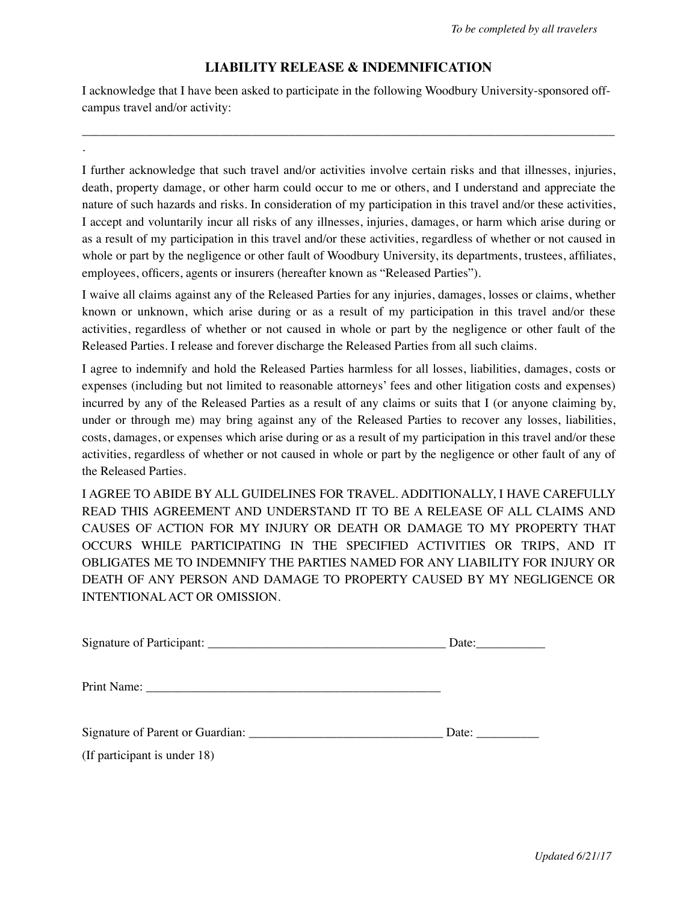## **LIABILITY RELEASE & INDEMNIFICATION**

I acknowledge that I have been asked to participate in the following Woodbury University-sponsored offcampus travel and/or activity:

\_\_\_\_\_\_\_\_\_\_\_\_\_\_\_\_\_\_\_\_\_\_\_\_\_\_\_\_\_\_\_\_\_\_\_\_\_\_\_\_\_\_\_\_\_\_\_\_\_\_\_\_\_\_\_\_\_\_\_\_\_\_\_\_\_\_\_\_\_\_\_\_\_\_\_\_\_\_\_\_\_\_\_\_\_

.

I further acknowledge that such travel and/or activities involve certain risks and that illnesses, injuries, death, property damage, or other harm could occur to me or others, and I understand and appreciate the nature of such hazards and risks. In consideration of my participation in this travel and/or these activities, I accept and voluntarily incur all risks of any illnesses, injuries, damages, or harm which arise during or as a result of my participation in this travel and/or these activities, regardless of whether or not caused in whole or part by the negligence or other fault of Woodbury University, its departments, trustees, affiliates, employees, officers, agents or insurers (hereafter known as "Released Parties").

I waive all claims against any of the Released Parties for any injuries, damages, losses or claims, whether known or unknown, which arise during or as a result of my participation in this travel and/or these activities, regardless of whether or not caused in whole or part by the negligence or other fault of the Released Parties. I release and forever discharge the Released Parties from all such claims.

I agree to indemnify and hold the Released Parties harmless for all losses, liabilities, damages, costs or expenses (including but not limited to reasonable attorneys' fees and other litigation costs and expenses) incurred by any of the Released Parties as a result of any claims or suits that I (or anyone claiming by, under or through me) may bring against any of the Released Parties to recover any losses, liabilities, costs, damages, or expenses which arise during or as a result of my participation in this travel and/or these activities, regardless of whether or not caused in whole or part by the negligence or other fault of any of the Released Parties.

I AGREE TO ABIDE BY ALL GUIDELINES FOR TRAVEL. ADDITIONALLY, I HAVE CAREFULLY READ THIS AGREEMENT AND UNDERSTAND IT TO BE A RELEASE OF ALL CLAIMS AND CAUSES OF ACTION FOR MY INJURY OR DEATH OR DAMAGE TO MY PROPERTY THAT OCCURS WHILE PARTICIPATING IN THE SPECIFIED ACTIVITIES OR TRIPS, AND IT OBLIGATES ME TO INDEMNIFY THE PARTIES NAMED FOR ANY LIABILITY FOR INJURY OR DEATH OF ANY PERSON AND DAMAGE TO PROPERTY CAUSED BY MY NEGLIGENCE OR INTENTIONAL ACT OR OMISSION.

|                              | Date: $\frac{1}{\sqrt{1-\frac{1}{2}} \cdot \frac{1}{\sqrt{1-\frac{1}{2}}}}$ |
|------------------------------|-----------------------------------------------------------------------------|
|                              |                                                                             |
|                              | Date:                                                                       |
| (If participant is under 18) |                                                                             |